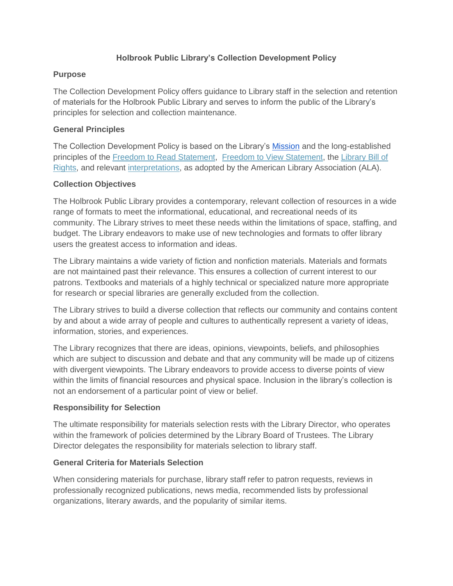# **Holbrook Public Library's Collection Development Policy**

### **Purpose**

The Collection Development Policy offers guidance to Library staff in the selection and retention of materials for the Holbrook Public Library and serves to inform the public of the Library's principles for selection and collection maintenance.

### **General Principles**

The Collection Development Policy is based on the Library's [Mission](https://holbrookpubliclibrary.org/about/#___Mission_Statement__) and the long-established principles of the [Freedom to Read Statement,](http://www.ala.org/advocacy/intfreedom/statementspols/freedomreadstatement) [Freedom to View Statement,](https://www.ala.org/advocacy/intfreedom/freedomviewstatement) the [Library Bill of](https://www.ala.org/advocacy/intfreedom/librarybill)  [Rights,](https://www.ala.org/advocacy/intfreedom/librarybill) and relevant [interpretations,](https://www.ala.org/advocacy/intfreedom/librarybill/interpretations) as adopted by the American Library Association (ALA).

### **Collection Objectives**

The Holbrook Public Library provides a contemporary, relevant collection of resources in a wide range of formats to meet the informational, educational, and recreational needs of its community. The Library strives to meet these needs within the limitations of space, staffing, and budget. The Library endeavors to make use of new technologies and formats to offer library users the greatest access to information and ideas.

The Library maintains a wide variety of fiction and nonfiction materials. Materials and formats are not maintained past their relevance. This ensures a collection of current interest to our patrons. Textbooks and materials of a highly technical or specialized nature more appropriate for research or special libraries are generally excluded from the collection.

The Library strives to build a diverse collection that reflects our community and contains content by and about a wide array of people and cultures to authentically represent a variety of ideas, information, stories, and experiences.

The Library recognizes that there are ideas, opinions, viewpoints, beliefs, and philosophies which are subject to discussion and debate and that any community will be made up of citizens with divergent viewpoints. The Library endeavors to provide access to diverse points of view within the limits of financial resources and physical space. Inclusion in the library's collection is not an endorsement of a particular point of view or belief.

# **Responsibility for Selection**

The ultimate responsibility for materials selection rests with the Library Director, who operates within the framework of policies determined by the Library Board of Trustees. The Library Director delegates the responsibility for materials selection to library staff.

# **General Criteria for Materials Selection**

When considering materials for purchase, library staff refer to patron requests, reviews in professionally recognized publications, news media, recommended lists by professional organizations, literary awards, and the popularity of similar items.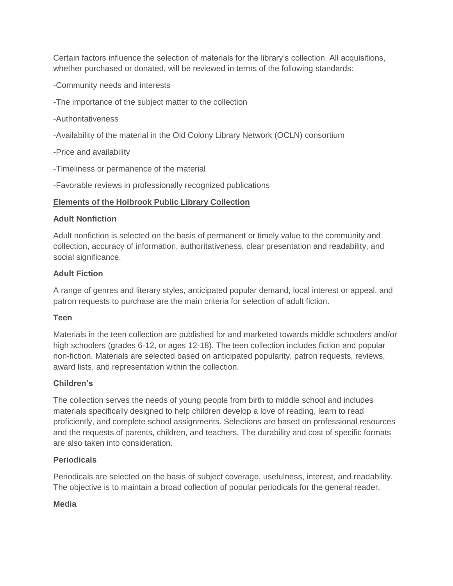Certain factors influence the selection of materials for the library's collection. All acquisitions, whether purchased or donated, will be reviewed in terms of the following standards:

-Community needs and interests

-The importance of the subject matter to the collection

-Authoritativeness

-Availability of the material in the Old Colony Library Network (OCLN) consortium

-Price and availability

-Timeliness or permanence of the material

-Favorable reviews in professionally recognized publications

### **Elements of the Holbrook Public Library Collection**

#### **Adult Nonfiction**

Adult nonfiction is selected on the basis of permanent or timely value to the community and collection, accuracy of information, authoritativeness, clear presentation and readability, and social significance.

#### **Adult Fiction**

A range of genres and literary styles, anticipated popular demand, local interest or appeal, and patron requests to purchase are the main criteria for selection of adult fiction.

#### **Teen**

Materials in the teen collection are published for and marketed towards middle schoolers and/or high schoolers (grades 6-12, or ages 12-18). The teen collection includes fiction and popular non-fiction. Materials are selected based on anticipated popularity, patron requests, reviews, award lists, and representation within the collection.

#### **Children's**

The collection serves the needs of young people from birth to middle school and includes materials specifically designed to help children develop a love of reading, learn to read proficiently, and complete school assignments. Selections are based on professional resources and the requests of parents, children, and teachers. The durability and cost of specific formats are also taken into consideration.

#### **Periodicals**

Periodicals are selected on the basis of subject coverage, usefulness, interest, and readability. The objective is to maintain a broad collection of popular periodicals for the general reader.

#### **Media**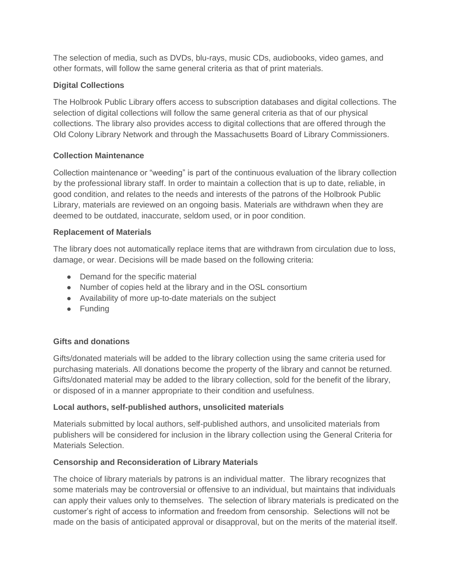The selection of media, such as DVDs, blu-rays, music CDs, audiobooks, video games, and other formats, will follow the same general criteria as that of print materials.

# **Digital Collections**

The Holbrook Public Library offers access to subscription databases and digital collections. The selection of digital collections will follow the same general criteria as that of our physical collections. The library also provides access to digital collections that are offered through the Old Colony Library Network and through the Massachusetts Board of Library Commissioners.

# **Collection Maintenance**

Collection maintenance or "weeding" is part of the continuous evaluation of the library collection by the professional library staff. In order to maintain a collection that is up to date, reliable, in good condition, and relates to the needs and interests of the patrons of the Holbrook Public Library, materials are reviewed on an ongoing basis. Materials are withdrawn when they are deemed to be outdated, inaccurate, seldom used, or in poor condition.

# **Replacement of Materials**

The library does not automatically replace items that are withdrawn from circulation due to loss, damage, or wear. Decisions will be made based on the following criteria:

- Demand for the specific material
- Number of copies held at the library and in the OSL consortium
- Availability of more up-to-date materials on the subject
- Funding

# **Gifts and donations**

Gifts/donated materials will be added to the library collection using the same criteria used for purchasing materials. All donations become the property of the library and cannot be returned. Gifts/donated material may be added to the library collection, sold for the benefit of the library, or disposed of in a manner appropriate to their condition and usefulness.

# **Local authors, self-published authors, unsolicited materials**

Materials submitted by local authors, self-published authors, and unsolicited materials from publishers will be considered for inclusion in the library collection using the General Criteria for Materials Selection.

# **Censorship and Reconsideration of Library Materials**

The choice of library materials by patrons is an individual matter. The library recognizes that some materials may be controversial or offensive to an individual, but maintains that individuals can apply their values only to themselves. The selection of library materials is predicated on the customer's right of access to information and freedom from censorship. Selections will not be made on the basis of anticipated approval or disapproval, but on the merits of the material itself.